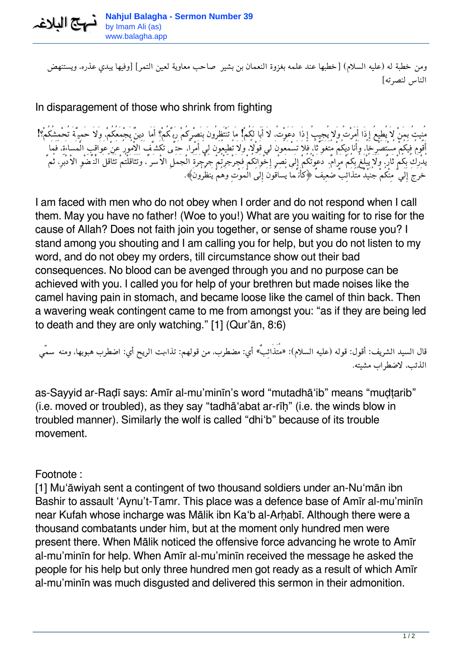*ومن خطبة له (عليه السلام) [خطبها عند علمه بغزوة النعمان بن بشير صاحب معاوية لعين التمر] [وفيها يبدي عذره، ويستنهض الناس لنصرته]*

In disparagement of those who shrink from fighting

*مُنِيتُ بِمَنْ لاَ يُطِيعُ إِذَا أَمَرْتُ وَلا يُجِيبُ إِذَا دَعَوْت،ُ لاَ أَبَا لَكُمْ! مَا تَنْتَظِرُونَ بِنَصْرِكُمْ رَبَّكُمْ؟ أَمَا دِينٌ يَجْمَعُكُم،ْ وَلاَ حَمِيَّةَ تُحْمِشُكُمْ؟! أَقُومُ فِيكُمْ مُسْتَصْرِخا،ً وَأُنادِيكُمْ مُتَغَوِّثا،ً فَلاَ تَسْمَعُونَ لي قَوْلا،ً وَلاَ تُطِيعُون لِي أَمْرا،ً حَتَّى تَكَشَّفَ الاْمُورُ عَنْ عَوَاقِبِ الْمَساءَة،ِ فَمَا يُدْرَكُ بِكُمْ ثَار،ٌ وَلاَ يُبْلَغُ بِكُمْ مَرَام،ٌ دَعَوْتُكُمْ إِلَى نَصْرِ إِخْوَانِكُمْ فَجَرْجَرْتُمْ جَرْجَرَةَ الْجَمَلِ الاْسَرِّ، وَتَثَاقَلْتُمْ تَثَاقُلَ الْنِّضْوِ الاْدْبَر،ِ ثُمَّ خَرَجَ إِلَيَّ مِنْكُمْ جُنَيْدٌ مُتَذَائِبٌ ضَعِيفٌ ﴿كَأَنَّمَا يُسَاقُونَ إِلَى الْمَوْتِ وَهُمْ يَنظُرُونَ﴾.*

I am faced with men who do not obey when I order and do not respond when I call them. May you have no father! (Woe to you!) What are you waiting for to rise for the cause of Allah? Does not faith join you together, or sense of shame rouse you? I stand among you shouting and I am calling you for help, but you do not listen to my word, and do not obey my orders, till circumstance show out their bad consequences. No blood can be avenged through you and no purpose can be achieved with you. I called you for help of your brethren but made noises like the camel having pain in stomach, and became loose like the camel of thin back. Then a wavering weak contingent came to me from amongst you: "as if they are being led to death and they are only watching." [1] (Qur'ān, 8:6)

*قال السيد الشريف: أقول: قوله (عليه السلام): «مُتَذَائِبٌ» أي: مضطرب، من قولهم: تذاءبت الريح أي: اضطرب هبوبها، ومنه سمّي الذئب، لاضطراب مشيته.*

as-Sayyid ar-Raḍī says: Amīr al-mu'minīn's word "mutadhā'ib" means "muḍṭarib" (i.e. moved or troubled), as they say "tadhā'abat ar-rīḥ" (i.e. the winds blow in troubled manner). Similarly the wolf is called "dhi'b" because of its trouble movement.

Footnote :

[1] Mu'āwiyah sent a contingent of two thousand soldiers under an-Nu'mān ibn Bashir to assault 'Aynu't-Tamr. This place was a defence base of Amīr al-mu'minīn near Kufah whose incharge was Mālik ibn Ka'b al-Arḥabī. Although there were a thousand combatants under him, but at the moment only hundred men were present there. When Mālik noticed the offensive force advancing he wrote to Amīr al-mu'minīn for help. When Amīr al-mu'minīn received the message he asked the people for his help but only three hundred men got ready as a result of which Amīr al-mu'minīn was much disgusted and delivered this sermon in their admonition.